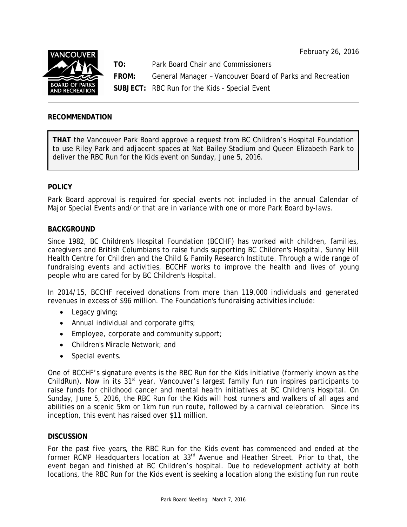February 26, 2016



**TO:** Park Board Chair and Commissioners

**FROM:** General Manager – Vancouver Board of Parks and Recreation

**SUBJECT:** RBC Run for the Kids - Special Event

# **RECOMMENDATION**

**THAT** the Vancouver Park Board approve a request from BC Children's Hospital Foundation to use Riley Park and adjacent spaces at Nat Bailey Stadium and Queen Elizabeth Park to deliver the RBC Run for the Kids event on Sunday, June 5, 2016.

## **POLICY**

Park Board approval is required for special events not included in the annual Calendar of Major Special Events and/or that are in variance with one or more Park Board by-laws.

### **BACKGROUND**

Since 1982, BC Children's Hospital Foundation (BCCHF) has worked with children, families, caregivers and British Columbians to raise funds supporting BC Children's Hospital, Sunny Hill Health Centre for Children and the Child & Family Research Institute. Through a wide range of fundraising events and activities, BCCHF works to improve the health and lives of young people who are cared for by BC Children's Hospital.

In 2014/15, BCCHF received donations from more than 119,000 individuals and generated revenues in excess of \$96 million. The Foundation's fundraising activities include:

- Legacy giving;
- Annual individual and corporate gifts;
- Employee, corporate and community support;
- Children's Miracle Network; and
- Special events.

One of BCCHF's signature events is the RBC Run for the Kids initiative (formerly known as the ChildRun). Now in its  $31<sup>st</sup>$  year, Vancouver's largest family fun run inspires participants to raise funds for childhood cancer and mental health initiatives at BC Children's Hospital. On Sunday, June 5, 2016, the RBC Run for the Kids will host runners and walkers of all ages and abilities on a scenic 5km or 1km fun run route, followed by a carnival celebration. Since its inception, this event has raised over \$11 million.

### **DISCUSSION**

For the past five years, the RBC Run for the Kids event has commenced and ended at the former RCMP Headquarters location at 33<sup>rd</sup> Avenue and Heather Street. Prior to that, the event began and finished at BC Children's hospital. Due to redevelopment activity at both locations, the RBC Run for the Kids event is seeking a location along the existing fun run route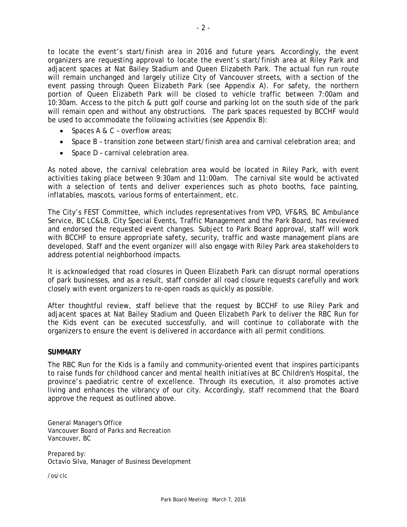to locate the event's start/finish area in 2016 and future years. Accordingly, the event organizers are requesting approval to locate the event's start/finish area at Riley Park and adjacent spaces at Nat Bailey Stadium and Queen Elizabeth Park. The actual fun run route will remain unchanged and largely utilize City of Vancouver streets, with a section of the event passing through Queen Elizabeth Park (see Appendix A). For safety, the northern portion of Queen Elizabeth Park will be closed to vehicle traffic between 7:00am and 10:30am. Access to the pitch & putt golf course and parking lot on the south side of the park will remain open and without any obstructions. The park spaces requested by BCCHF would be used to accommodate the following activities (see Appendix B):

- Spaces A & C overflow areas;
- Space B transition zone between start/finish area and carnival celebration area; and
- Space D carnival celebration area.

As noted above, the carnival celebration area would be located in Riley Park, with event activities taking place between 9:30am and 11:00am. The carnival site would be activated with a selection of tents and deliver experiences such as photo booths, face painting, inflatables, mascots, various forms of entertainment, etc.

The City's FEST Committee, which includes representatives from VPD, VF&RS, BC Ambulance Service, BC LC&LB, City Special Events, Traffic Management and the Park Board, has reviewed and endorsed the requested event changes. Subject to Park Board approval, staff will work with BCCHF to ensure appropriate safety, security, traffic and waste management plans are developed. Staff and the event organizer will also engage with Riley Park area stakeholders to address potential neighborhood impacts.

It is acknowledged that road closures in Queen Elizabeth Park can disrupt normal operations of park businesses, and as a result, staff consider all road closure requests carefully and work closely with event organizers to re-open roads as quickly as possible.

After thoughtful review, staff believe that the request by BCCHF to use Riley Park and adjacent spaces at Nat Bailey Stadium and Queen Elizabeth Park to deliver the RBC Run for the Kids event can be executed successfully, and will continue to collaborate with the organizers to ensure the event is delivered in accordance with all permit conditions.

### **SUMMARY**

The RBC Run for the Kids is a family and community-oriented event that inspires participants to raise funds for childhood cancer and mental health initiatives at BC Children's Hospital, the province's paediatric centre of excellence. Through its execution, it also promotes active living and enhances the vibrancy of our city. Accordingly, staff recommend that the Board approve the request as outlined above.

General Manager's Office Vancouver Board of Parks and Recreation Vancouver, BC

Prepared by: Octavio Silva, Manager of Business Development

/os/clc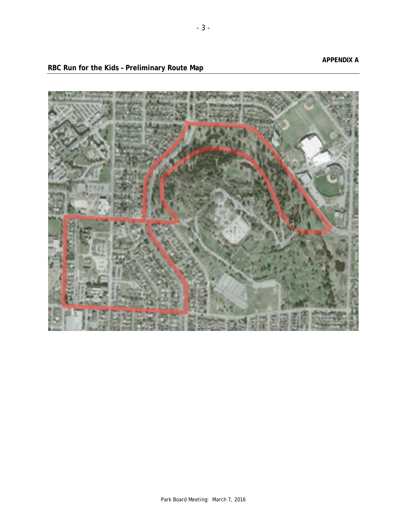**RBC Run for the Kids – Preliminary Route Map**